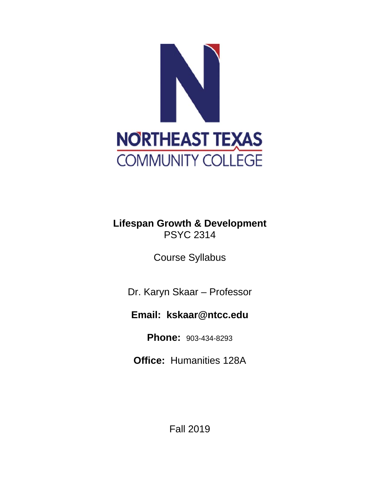

## **Lifespan Growth & Development** PSYC 2314

Course Syllabus

Dr. Karyn Skaar – Professor

# **Email: kskaar@ntcc.edu**

**Phone:** 903-434-8293

**Office:** Humanities 128A

Fall 2019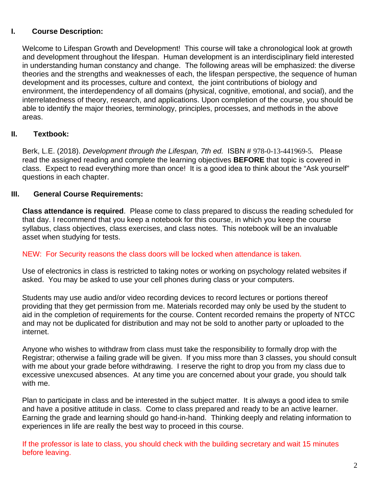### **I. Course Description:**

Welcome to Lifespan Growth and Development! This course will take a chronological look at growth and development throughout the lifespan. Human development is an interdisciplinary field interested in understanding human constancy and change. The following areas will be emphasized: the diverse theories and the strengths and weaknesses of each, the lifespan perspective, the sequence of human development and its processes, culture and context, the joint contributions of biology and environment, the interdependency of all domains (physical, cognitive, emotional, and social), and the interrelatedness of theory, research, and applications. Upon completion of the course, you should be able to identify the major theories, terminology, principles, processes, and methods in the above areas.

### **II. Textbook:**

Berk, L.E. (2018). *Development through the Lifespan, 7th ed.* ISBN # 978-0-13-441969-5. Please read the assigned reading and complete the learning objectives **BEFORE** that topic is covered in class. Expect to read everything more than once! It is a good idea to think about the "Ask yourself" questions in each chapter.

### **III. General Course Requirements:**

**Class attendance is required**. Please come to class prepared to discuss the reading scheduled for that day. I recommend that you keep a notebook for this course, in which you keep the course syllabus, class objectives, class exercises, and class notes. This notebook will be an invaluable asset when studying for tests.

#### NEW: For Security reasons the class doors will be locked when attendance is taken.

Use of electronics in class is restricted to taking notes or working on psychology related websites if asked. You may be asked to use your cell phones during class or your computers.

Students may use audio and/or video recording devices to record lectures or portions thereof providing that they get permission from me. Materials recorded may only be used by the student to aid in the completion of requirements for the course. Content recorded remains the property of NTCC and may not be duplicated for distribution and may not be sold to another party or uploaded to the internet.

Anyone who wishes to withdraw from class must take the responsibility to formally drop with the Registrar; otherwise a failing grade will be given. If you miss more than 3 classes, you should consult with me about your grade before withdrawing. I reserve the right to drop you from my class due to excessive unexcused absences. At any time you are concerned about your grade, you should talk with me.

Plan to participate in class and be interested in the subject matter. It is always a good idea to smile and have a positive attitude in class. Come to class prepared and ready to be an active learner. Earning the grade and learning should go hand-in-hand. Thinking deeply and relating information to experiences in life are really the best way to proceed in this course.

If the professor is late to class, you should check with the building secretary and wait 15 minutes before leaving.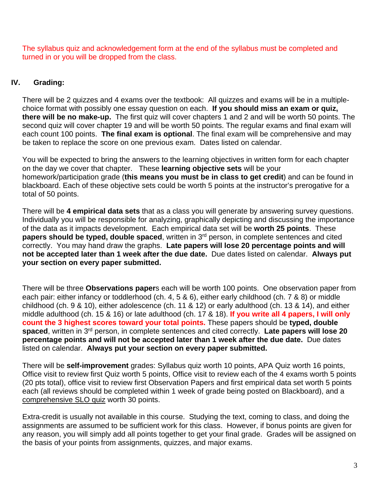The syllabus quiz and acknowledgement form at the end of the syllabus must be completed and turned in or you will be dropped from the class.

### **IV. Grading:**

There will be 2 quizzes and 4 exams over the textbook: All quizzes and exams will be in a multiplechoice format with possibly one essay question on each. **If you should miss an exam or quiz, there will be no make-up.** The first quiz will cover chapters 1 and 2 and will be worth 50 points. The second quiz will cover chapter 19 and will be worth 50 points. The regular exams and final exam will each count 100 points. **The final exam is optional**. The final exam will be comprehensive and may be taken to replace the score on one previous exam. Dates listed on calendar.

You will be expected to bring the answers to the learning objectives in written form for each chapter on the day we cover that chapter. These **learning objective sets** will be your homework/participation grade (**this means you must be in class to get credit**) and can be found in blackboard. Each of these objective sets could be worth 5 points at the instructor's prerogative for a total of 50 points.

There will be **4 empirical data sets** that as a class you will generate by answering survey questions. Individually you will be responsible for analyzing, graphically depicting and discussing the importance of the data as it impacts development. Each empirical data set will be **worth 25 points**. These **papers should be typed, double spaced**, written in 3rd person, in complete sentences and cited correctly. You may hand draw the graphs. **Late papers will lose 20 percentage points and will not be accepted later than 1 week after the due date.** Due dates listed on calendar. **Always put your section on every paper submitted.** 

There will be three **Observations paper**s each will be worth 100 points. One observation paper from each pair: either infancy or toddlerhood (ch. 4, 5 & 6), either early childhood (ch. 7 & 8) or middle childhood (ch. 9 & 10), either adolescence (ch. 11 & 12) or early adulthood (ch. 13 & 14), and either middle adulthood (ch. 15 & 16) or late adulthood (ch. 17 & 18). **If you write all 4 papers, I will only count the 3 highest scores toward your total points.** These papers should be **typed, double spaced**, written in 3rd person, in complete sentences and cited correctly. **Late papers will lose 20 percentage points and will not be accepted later than 1 week after the due date.** Due dates listed on calendar. **Always put your section on every paper submitted.** 

There will be **self-improvement** grades: Syllabus quiz worth 10 points, APA Quiz worth 16 points, Office visit to review first Quiz worth 5 points, Office visit to review each of the 4 exams worth 5 points (20 pts total), office visit to review first Observation Papers and first empirical data set worth 5 points each (all reviews should be completed within 1 week of grade being posted on Blackboard), and a comprehensive SLO quiz worth 30 points.

Extra-credit is usually not available in this course. Studying the text, coming to class, and doing the assignments are assumed to be sufficient work for this class. However, if bonus points are given for any reason, you will simply add all points together to get your final grade. Grades will be assigned on the basis of your points from assignments, quizzes, and major exams.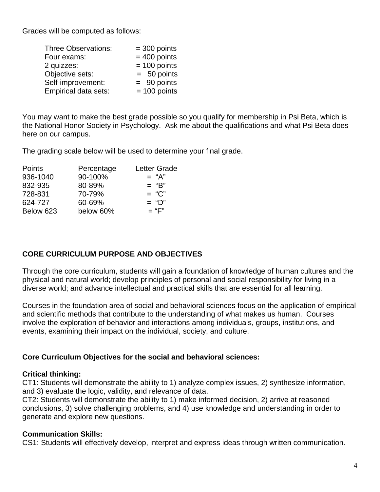Grades will be computed as follows:

| <b>Three Observations:</b> | $=$ 300 points |
|----------------------------|----------------|
| Four exams:                | $= 400$ points |
| 2 quizzes:                 | $= 100$ points |
| Objective sets:            | $= 50$ points  |
| Self-improvement:          | $= 90$ points  |
| Empirical data sets:       | $= 100$ points |

You may want to make the best grade possible so you qualify for membership in Psi Beta, which is the National Honor Society in Psychology. Ask me about the qualifications and what Psi Beta does here on our campus.

The grading scale below will be used to determine your final grade.

| Percentage | <b>Letter Grade</b> |
|------------|---------------------|
| 90-100%    | $=$ "A"             |
| 80-89%     | $=$ "B"             |
| 70-79%     | $= "C"$             |
| 60-69%     | $=$ "D"             |
| below 60%  | $=$ "F"             |
|            |                     |

## **CORE CURRICULUM PURPOSE AND OBJECTIVES**

Through the core curriculum, students will gain a foundation of knowledge of human cultures and the physical and natural world; develop principles of personal and social responsibility for living in a diverse world; and advance intellectual and practical skills that are essential for all learning.

Courses in the foundation area of social and behavioral sciences focus on the application of empirical and scientific methods that contribute to the understanding of what makes us human. Courses involve the exploration of behavior and interactions among individuals, groups, institutions, and events, examining their impact on the individual, society, and culture.

### **Core Curriculum Objectives for the social and behavioral sciences:**

### **Critical thinking:**

CT1: Students will demonstrate the ability to 1) analyze complex issues, 2) synthesize information, and 3) evaluate the logic, validity, and relevance of data.

CT2: Students will demonstrate the ability to 1) make informed decision, 2) arrive at reasoned conclusions, 3) solve challenging problems, and 4) use knowledge and understanding in order to generate and explore new questions.

### **Communication Skills:**

CS1: Students will effectively develop, interpret and express ideas through written communication.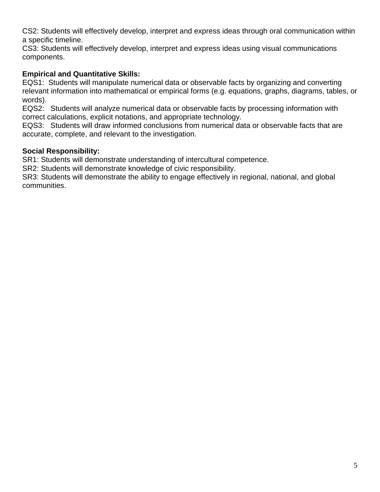CS2: Students will effectively develop, interpret and express ideas through oral communication within a specific timeline.

CS3: Students will effectively develop, interpret and express ideas using visual communications components.

## **Empirical and Quantitative Skills:**

EQS1: Students will manipulate numerical data or observable facts by organizing and converting relevant information into mathematical or empirical forms (e.g. equations, graphs, diagrams, tables, or words).

EQS2: Students will analyze numerical data or observable facts by processing information with correct calculations, explicit notations, and appropriate technology.

EQS3: Students will draw informed conclusions from numerical data or observable facts that are accurate, complete, and relevant to the investigation.

### **Social Responsibility:**

SR1: Students will demonstrate understanding of intercultural competence.

SR2: Students will demonstrate knowledge of civic responsibility.

SR3: Students will demonstrate the ability to engage effectively in regional, national, and global communities.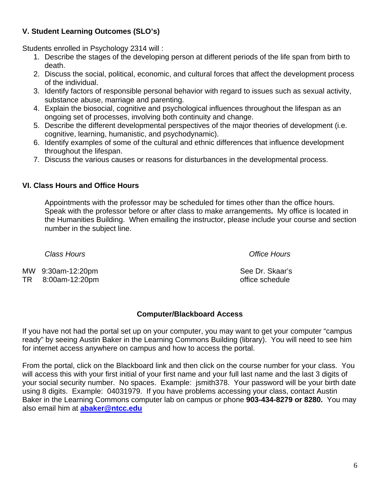## **V. Student Learning Outcomes (SLO's)**

Students enrolled in Psychology 2314 will :

- 1. Describe the stages of the developing person at different periods of the life span from birth to death.
- 2. Discuss the social, political, economic, and cultural forces that affect the development process of the individual.
- 3. Identify factors of responsible personal behavior with regard to issues such as sexual activity, substance abuse, marriage and parenting.
- 4. Explain the biosocial, cognitive and psychological influences throughout the lifespan as an ongoing set of processes, involving both continuity and change.
- 5. Describe the different developmental perspectives of the major theories of development (i.e. cognitive, learning, humanistic, and psychodynamic).
- 6. Identify examples of some of the cultural and ethnic differences that influence development throughout the lifespan.
- 7. Discuss the various causes or reasons for disturbances in the developmental process.

## **VI. Class Hours and Office Hours**

 Appointments with the professor may be scheduled for times other than the office hours. Speak with the professor before or after class to make arrangements**.** My office is located in the Humanities Building. When emailing the instructor, please include your course and section number in the subject line.

*Class Hours Office Hours* 

MW 9:30am-12:20pm

TR 8:00am-12:20pm

See Dr. Skaar's office schedule

## **Computer/Blackboard Access**

If you have not had the portal set up on your computer, you may want to get your computer "campus ready" by seeing Austin Baker in the Learning Commons Building (library). You will need to see him for internet access anywhere on campus and how to access the portal.

From the portal, click on the Blackboard link and then click on the course number for your class. You will access this with your first initial of your first name and your full last name and the last 3 digits of your social security number. No spaces. Example: jsmith378. Your password will be your birth date using 8 digits. Example: 04031979. If you have problems accessing your class, contact Austin Baker in the Learning Commons computer lab on campus or phone **903-434-8279 or 8280.** You may also email him at **abaker@ntcc.edu**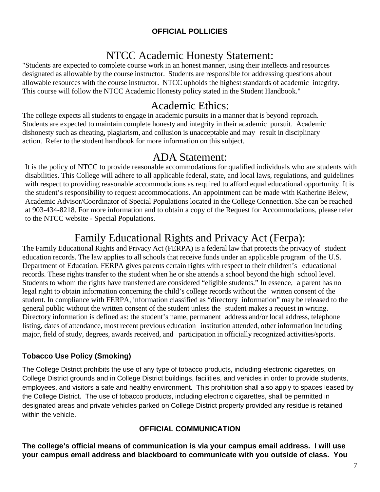### **OFFICIAL POLLICIES**

## NTCC Academic Honesty Statement:

"Students are expected to complete course work in an honest manner, using their intellects and resources designated as allowable by the course instructor. Students are responsible for addressing questions about allowable resources with the course instructor. NTCC upholds the highest standards of academic integrity. This course will follow the NTCC Academic Honesty policy stated in the Student Handbook."

## Academic Ethics:

The college expects all students to engage in academic pursuits in a manner that is beyond reproach. Students are expected to maintain complete honesty and integrity in their academic pursuit. Academic dishonesty such as cheating, plagiarism, and collusion is unacceptable and may result in disciplinary action. Refer to the student handbook for more information on this subject.

## ADA Statement:

It is the policy of NTCC to provide reasonable accommodations for qualified individuals who are students with disabilities. This College will adhere to all applicable federal, state, and local laws, regulations, and guidelines with respect to providing reasonable accommodations as required to afford equal educational opportunity. It is the student's responsibility to request accommodations. An appointment can be made with Katherine Belew, Academic Advisor/Coordinator of Special Populations located in the College Connection. She can be reached at 903-434-8218. For more information and to obtain a copy of the Request for Accommodations, please refer to the NTCC website - Special Populations.

# Family Educational Rights and Privacy Act (Ferpa):

The Family Educational Rights and Privacy Act (FERPA) is a federal law that protects the privacy of student education records. The law applies to all schools that receive funds under an applicable program of the U.S. Department of Education. FERPA gives parents certain rights with respect to their children's educational records. These rights transfer to the student when he or she attends a school beyond the high school level. Students to whom the rights have transferred are considered "eligible students." In essence, a parent has no legal right to obtain information concerning the child's college records without the written consent of the student. In compliance with FERPA, information classified as "directory information" may be released to the general public without the written consent of the student unless the student makes a request in writing. Directory information is defined as: the student's name, permanent address and/or local address, telephone listing, dates of attendance, most recent previous education institution attended, other information including major, field of study, degrees, awards received, and participation in officially recognized activities/sports.

## **Tobacco Use Policy (Smoking)**

The College District prohibits the use of any type of tobacco products, including electronic cigarettes, on College District grounds and in College District buildings, facilities, and vehicles in order to provide students, employees, and visitors a safe and healthy environment. This prohibition shall also apply to spaces leased by the College District. The use of tobacco products, including electronic cigarettes, shall be permitted in designated areas and private vehicles parked on College District property provided any residue is retained within the vehicle.

### **OFFICIAL COMMUNICATION**

**The college's official means of communication is via your campus email address. I will use your campus email address and blackboard to communicate with you outside of class. You**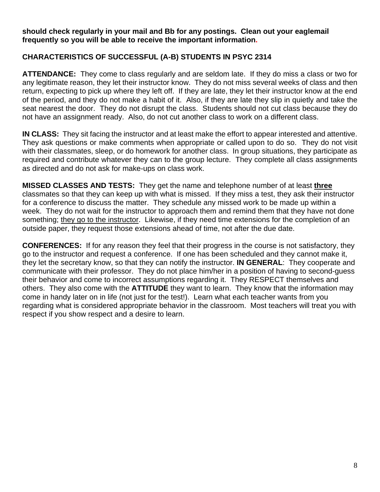#### **should check regularly in your mail and Bb for any postings. Clean out your eaglemail frequently so you will be able to receive the important information.**

#### **CHARACTERISTICS OF SUCCESSFUL (A-B) STUDENTS IN PSYC 2314**

**ATTENDANCE:** They come to class regularly and are seldom late. If they do miss a class or two for any legitimate reason, they let their instructor know. They do not miss several weeks of class and then return, expecting to pick up where they left off. If they are late, they let their instructor know at the end of the period, and they do not make a habit of it. Also, if they are late they slip in quietly and take the seat nearest the door. They do not disrupt the class. Students should not cut class because they do not have an assignment ready. Also, do not cut another class to work on a different class.

**IN CLASS:** They sit facing the instructor and at least make the effort to appear interested and attentive. They ask questions or make comments when appropriate or called upon to do so. They do not visit with their classmates, sleep, or do homework for another class. In group situations, they participate as required and contribute whatever they can to the group lecture. They complete all class assignments as directed and do not ask for make-ups on class work.

**MISSED CLASSES AND TESTS:** They get the name and telephone number of at least **three** classmates so that they can keep up with what is missed. If they miss a test, they ask their instructor for a conference to discuss the matter. They schedule any missed work to be made up within a week. They do not wait for the instructor to approach them and remind them that they have not done something; they go to the instructor. Likewise, if they need time extensions for the completion of an outside paper, they request those extensions ahead of time, not after the due date.

**CONFERENCES:** If for any reason they feel that their progress in the course is not satisfactory, they go to the instructor and request a conference. If one has been scheduled and they cannot make it, they let the secretary know, so that they can notify the instructor. **IN GENERAL**: They cooperate and communicate with their professor. They do not place him/her in a position of having to second-guess their behavior and come to incorrect assumptions regarding it. They RESPECT themselves and others. They also come with the **ATTITUDE** they want to learn. They know that the information may come in handy later on in life (not just for the test!). Learn what each teacher wants from you regarding what is considered appropriate behavior in the classroom. Most teachers will treat you with respect if you show respect and a desire to learn.